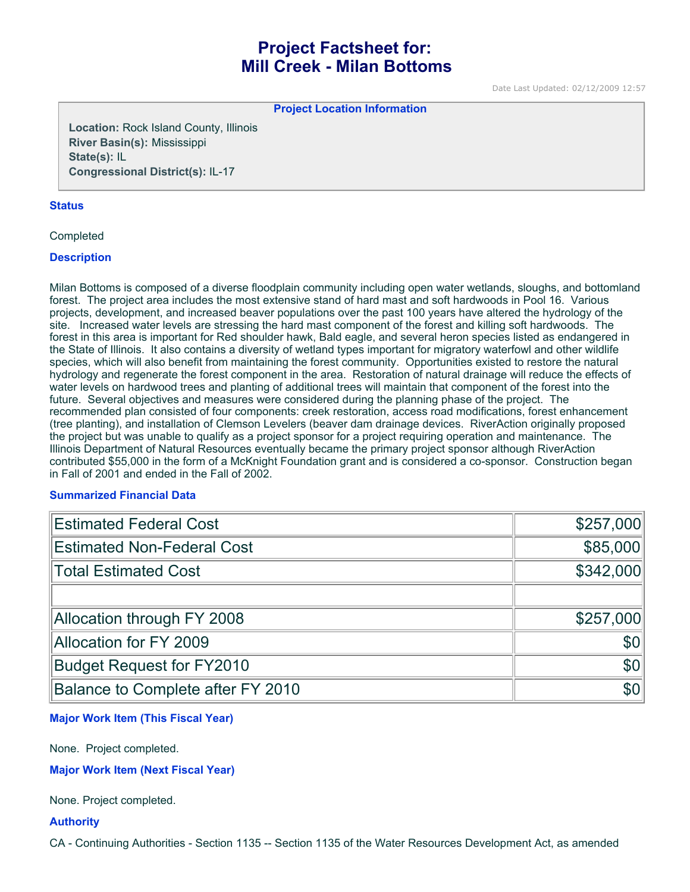# **Project Factsheet for: Mill Creek - Milan Bottoms**

Date Last Updated: 02/12/2009 12:57

**Project Location Information** 

**Location:** Rock Island County, Illinois **River Basin(s):** Mississippi **State(s):** IL **Congressional District(s):** IL-17

# **Status**

Completed

# **Description**

Milan Bottoms is composed of a diverse floodplain community including open water wetlands, sloughs, and bottomland forest. The project area includes the most extensive stand of hard mast and soft hardwoods in Pool 16. Various projects, development, and increased beaver populations over the past 100 years have altered the hydrology of the site. Increased water levels are stressing the hard mast component of the forest and killing soft hardwoods. The forest in this area is important for Red shoulder hawk, Bald eagle, and several heron species listed as endangered in the State of Illinois. It also contains a diversity of wetland types important for migratory waterfowl and other wildlife species, which will also benefit from maintaining the forest community. Opportunities existed to restore the natural hydrology and regenerate the forest component in the area. Restoration of natural drainage will reduce the effects of water levels on hardwood trees and planting of additional trees will maintain that component of the forest into the future. Several objectives and measures were considered during the planning phase of the project. The recommended plan consisted of four components: creek restoration, access road modifications, forest enhancement (tree planting), and installation of Clemson Levelers (beaver dam drainage devices. RiverAction originally proposed the project but was unable to qualify as a project sponsor for a project requiring operation and maintenance. The Illinois Department of Natural Resources eventually became the primary project sponsor although RiverAction contributed \$55,000 in the form of a McKnight Foundation grant and is considered a co-sponsor. Construction began in Fall of 2001 and ended in the Fall of 2002.

# **Summarized Financial Data**

| <b>Estimated Federal Cost</b>     | \$257,000    |
|-----------------------------------|--------------|
| <b>Estimated Non-Federal Cost</b> | \$85,000     |
| <b>Total Estimated Cost</b>       | \$342,000    |
|                                   |              |
| Allocation through FY 2008        | \$257,000    |
| Allocation for FY 2009            | \$0          |
| <b>Budget Request for FY2010</b>  | \$0          |
| Balance to Complete after FY 2010 | $ 10\rangle$ |

# **Major Work Item (This Fiscal Year)**

None. Project completed.

**Major Work Item (Next Fiscal Year)**

None. Project completed.

# **Authority**

CA - Continuing Authorities - Section 1135 -- Section 1135 of the Water Resources Development Act, as amended